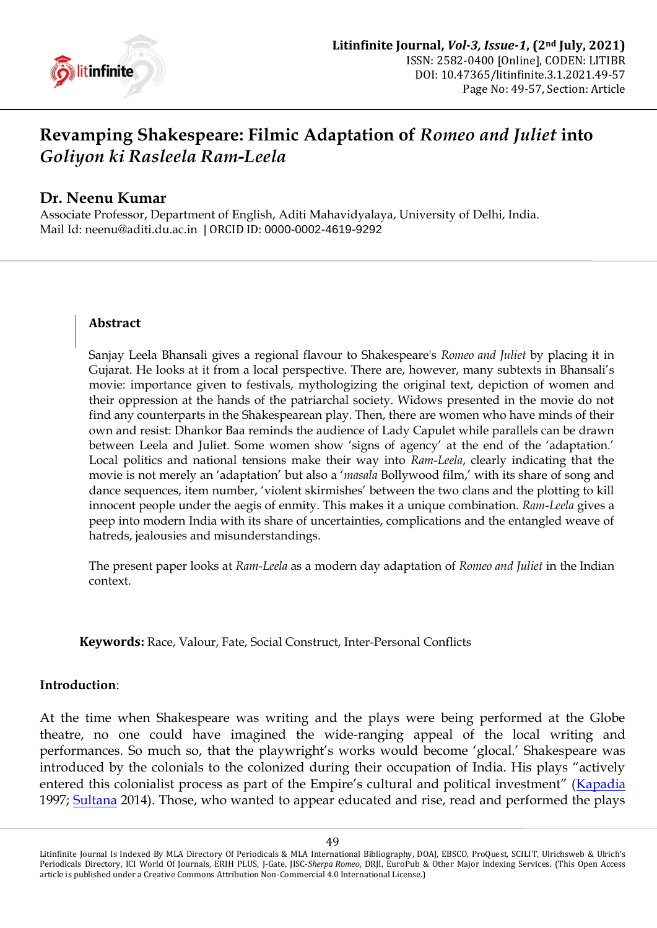

# **Revamping Shakespeare: Filmic Adaptation of** *Romeo and Juliet* **into**  *Goliyon ki Rasleela Ram***-***Leela*

# **Dr. Neenu Kumar**

Associate Professor, Department of English, Aditi Mahavidyalaya, University of Delhi, India. Mail Id: [neenu@aditi.du.ac.in](mailto:neenu@aditi.du.ac.in) | ORCID ID: [0000-0002-4619-9292](https://orcid.org/0000-0002-4619-9292)

### **Abstract**

Sanjay Leela Bhansali gives a regional flavour to Shakespeare's *Romeo and Juliet* by placing it in Gujarat. He looks at it from a local perspective. There are, however, many subtexts in Bhansali"s movie: importance given to festivals, mythologizing the original text, depiction of women and their oppression at the hands of the patriarchal society. Widows presented in the movie do not find any counterparts in the Shakespearean play. Then, there are women who have minds of their own and resist: Dhankor Baa reminds the audience of Lady Capulet while parallels can be drawn between Leela and Juliet. Some women show 'signs of agency' at the end of the 'adaptation.' Local politics and national tensions make their way into *Ram*-*Leela*, clearly indicating that the movie is not merely an "adaptation" but also a "*masala* Bollywood film," with its share of song and dance sequences, item number, "violent skirmishes" between the two clans and the plotting to kill innocent people under the aegis of enmity. This makes it a unique combination. *Ram*-*Leela* gives a peep into modern India with its share of uncertainties, complications and the entangled weave of hatreds, jealousies and misunderstandings.

The present paper looks at *Ram*-*Leela* as a modern day adaptation of *Romeo and Juliet* in the Indian context.

**Keywords:** Race, Valour, Fate, Social Construct, Inter-Personal Conflicts

#### **Introduction**:

At the time when Shakespeare was writing and the plays were being performed at the Globe theatre, no one could have imagined the wide-ranging appeal of the local writing and performances. So much so, that the playwright's works would become 'glocal.' Shakespeare was introduced by the colonials to the colonized during their occupation of India. His plays "actively entered this colonialist process as part of the Empire's cultural and political investment" ([Kapadia](#page-7-0) 1997; [Sultana](#page-7-1) 2014). Those, who wanted to appear educated and rise, read and performed the plays

Litinfinite Journal Is Indexed By MLA Directory Of Periodicals & MLA International Bibliography, DOAJ, EBSCO, ProQuest, SCILIT, Ulrichsweb & Ulrich's Periodicals Directory, ICI World Of Journals, ERIH PLUS, J-Gate, JISC-*Sherpa Romeo*, DRJI, EuroPub & Other Major Indexing Services. (This Open Access article is published under a Creative Commons Attribution Non-Commercial 4.0 International License.)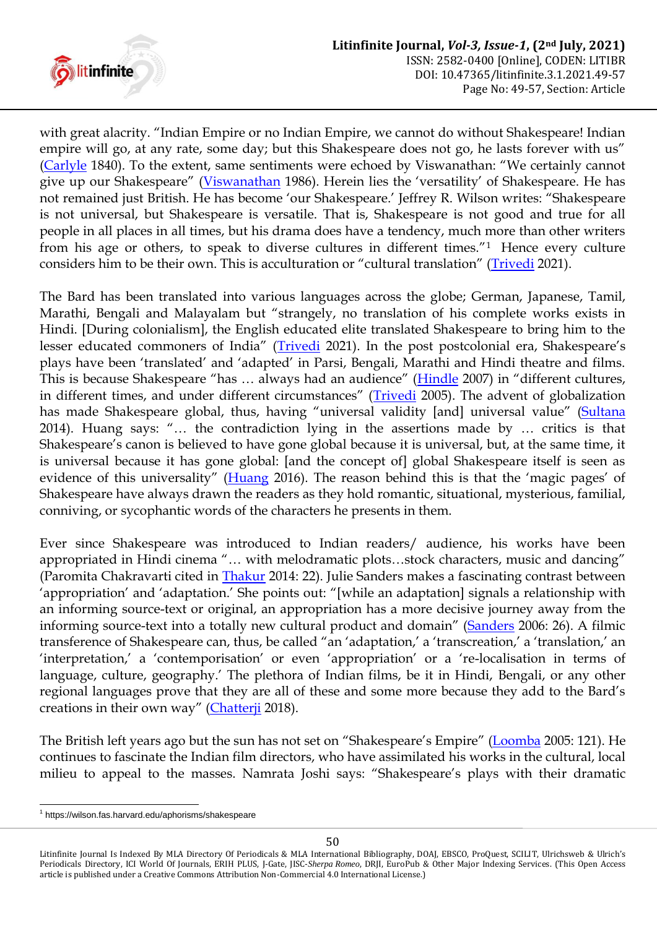

with great alacrity. "Indian Empire or no Indian Empire, we cannot do without Shakespeare! Indian empire will go, at any rate, some day; but this Shakespeare does not go, he lasts forever with us" [\(Carlyle](#page-6-0) 1840). To the extent, same sentiments were echoed by Viswanathan: "We certainly cannot give up our Shakespeare" ([Viswanathan](#page-7-2) 1986). Herein lies the "versatility" of Shakespeare. He has not remained just British. He has become 'our Shakespeare.' Jeffrey R. Wilson writes: "Shakespeare is not universal, but Shakespeare is versatile. That is, Shakespeare is not good and true for all people in all places in all times, but his drama does have a tendency, much more than other writers from his age or others, to speak to diverse cultures in different times."<sup>1</sup> Hence every culture considers him to be their own. This is acculturation or "cultural translation" ([Trivedi](#page-7-3) 2021).

The Bard has been translated into various languages across the globe; German, Japanese, Tamil, Marathi, Bengali and Malayalam but "strangely, no translation of his complete works exists in Hindi. [During colonialism], the English educated elite translated Shakespeare to bring him to the lesser educated commoners of India" ([Trivedi](#page-7-3) 2021). In the post postcolonial era, Shakespeare's plays have been "translated" and "adapted" in Parsi, Bengali, Marathi and Hindi theatre and films. This is because Shakespeare "has … always had an audience" ([Hindle](#page-7-4) 2007) in "different cultures, in different times, and under different circumstances" ([Trivedi](#page-7-5) 2005). The advent of globalization has made Shakespeare global, thus, having "universal validity [and] universal value" ([Sultana](#page-7-1) 2014). Huang says: "… the contradiction lying in the assertions made by … critics is that Shakespeare's canon is believed to have gone global because it is universal, but, at the same time, it is universal because it has gone global: [and the concept of] global Shakespeare itself is seen as evidence of this universality" ([Huang](#page-7-6) 2016). The reason behind this is that the "magic pages" of Shakespeare have always drawn the readers as they hold romantic, situational, mysterious, familial, conniving, or sycophantic words of the characters he presents in them.

Ever since Shakespeare was introduced to Indian readers/ audience, his works have been appropriated in Hindi cinema "… with melodramatic plots…stock characters, music and dancing" (Paromita Chakravarti cited in [Thakur](#page-7-7) 2014: 22). Julie Sanders makes a fascinating contrast between 'appropriation' and 'adaptation.' She points out: "[while an adaptation] signals a relationship with an informing source-text or original, an appropriation has a more decisive journey away from the informing source-text into a totally new cultural product and domain" ([Sanders](#page-7-8) 2006: 26). A filmic transference of Shakespeare can, thus, be called "an 'adaptation,' a 'transcreation,' a 'translation,' an 'interpretation,' a 'contemporisation' or even 'appropriation' or a 're-localisation in terms of language, culture, geography.' The plethora of Indian films, be it in Hindi, Bengali, or any other regional languages prove that they are all of these and some more because they add to the Bard"s creations in their own way" ([Chatterji](#page-7-9) 2018).

The British left years ago but the sun has not set on "Shakespeare's Empire" ([Loomba](#page-7-10) 2005: 121). He continues to fascinate the Indian film directors, who have assimilated his works in the cultural, local milieu to appeal to the masses. Namrata Joshi says: "Shakespeare"s plays with their dramatic

<u>.</u>

<sup>1</sup> <https://wilson.fas.harvard.edu/aphorisms/shakespeare>

Litinfinite Journal Is Indexed By MLA Directory Of Periodicals & MLA International Bibliography, DOAJ, EBSCO, ProQuest, SCILIT, Ulrichsweb & Ulrich's Periodicals Directory, ICI World Of Journals, ERIH PLUS, J-Gate, JISC-*Sherpa Romeo*, DRJI, EuroPub & Other Major Indexing Services. (This Open Access article is published under a Creative Commons Attribution Non-Commercial 4.0 International License.)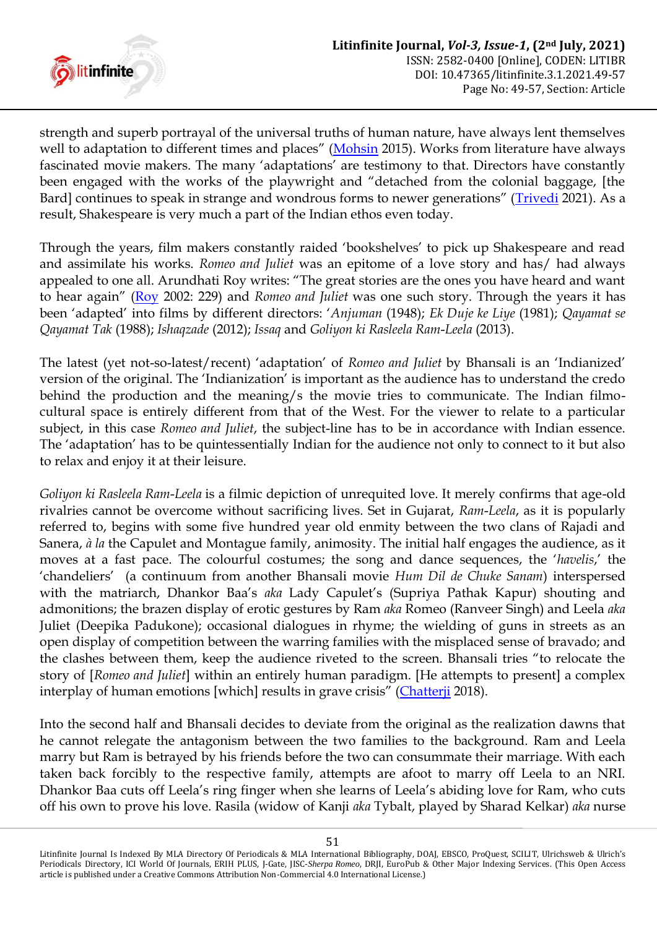

strength and superb portrayal of the universal truths of human nature, have always lent themselves well to adaptation to different times and places" ([Mohsin](#page-7-11) 2015). Works from literature have always fascinated movie makers. The many "adaptations" are testimony to that. Directors have constantly been engaged with the works of the playwright and "detached from the colonial baggage, [the Bard] continues to speak in strange and wondrous forms to newer generations" ([Trivedi](#page-7-3) 2021). As a result, Shakespeare is very much a part of the Indian ethos even today.

Through the years, film makers constantly raided "bookshelves" to pick up Shakespeare and read and assimilate his works. *Romeo and Juliet* was an epitome of a love story and has/ had always appealed to one all. Arundhati Roy writes: "The great stories are the ones you have heard and want to hear again" ([Roy](#page-7-12) 2002: 229) and *Romeo and Juliet* was one such story. Through the years it has been "adapted" into films by different directors: "*Anjuman* (1948); *Ek Duje ke Liye* (1981); *Qayamat se Qayamat Tak* (1988); *Ishaqzade* (2012); *Issaq* and *Goliyon ki Rasleela Ram*-*Leela* (2013).

The latest (yet not-so-latest/recent) "adaptation" of *Romeo and Juliet* by Bhansali is an "Indianized" version of the original. The 'Indianization' is important as the audience has to understand the credo behind the production and the meaning/s the movie tries to communicate. The Indian filmocultural space is entirely different from that of the West. For the viewer to relate to a particular subject, in this case *Romeo and Juliet*, the subject-line has to be in accordance with Indian essence. The "adaptation" has to be quintessentially Indian for the audience not only to connect to it but also to relax and enjoy it at their leisure.

*Goliyon ki Rasleela Ram*-*Leela* is a filmic depiction of unrequited love. It merely confirms that age-old rivalries cannot be overcome without sacrificing lives. Set in Gujarat, *Ram*-*Leela*, as it is popularly referred to, begins with some five hundred year old enmity between the two clans of Rajadi and Sanera, *à la* the Capulet and Montague family, animosity. The initial half engages the audience, as it moves at a fast pace. The colourful costumes; the song and dance sequences, the "*havelis*," the "chandeliers" (a continuum from another Bhansali movie *Hum Dil de Chuke Sanam*) interspersed with the matriarch, Dhankor Baa"s *aka* Lady Capulet"s (Supriya Pathak Kapur) shouting and admonitions; the brazen display of erotic gestures by Ram *aka* Romeo (Ranveer Singh) and Leela *aka*  Juliet (Deepika Padukone); occasional dialogues in rhyme; the wielding of guns in streets as an open display of competition between the warring families with the misplaced sense of bravado; and the clashes between them, keep the audience riveted to the screen. Bhansali tries "to relocate the story of [*Romeo and Juliet*] within an entirely human paradigm. [He attempts to present] a complex interplay of human emotions [which] results in grave crisis" ([Chatterji](#page-7-9) 2018).

Into the second half and Bhansali decides to deviate from the original as the realization dawns that he cannot relegate the antagonism between the two families to the background. Ram and Leela marry but Ram is betrayed by his friends before the two can consummate their marriage. With each taken back forcibly to the respective family, attempts are afoot to marry off Leela to an NRI. Dhankor Baa cuts off Leela"s ring finger when she learns of Leela"s abiding love for Ram, who cuts off his own to prove his love. Rasila (widow of Kanji *aka* Tybalt, played by Sharad Kelkar) *aka* nurse

Litinfinite Journal Is Indexed By MLA Directory Of Periodicals & MLA International Bibliography, DOAJ, EBSCO, ProQuest, SCILIT, Ulrichsweb & Ulrich's Periodicals Directory, ICI World Of Journals, ERIH PLUS, J-Gate, JISC-*Sherpa Romeo*, DRJI, EuroPub & Other Major Indexing Services. (This Open Access article is published under a Creative Commons Attribution Non-Commercial 4.0 International License.)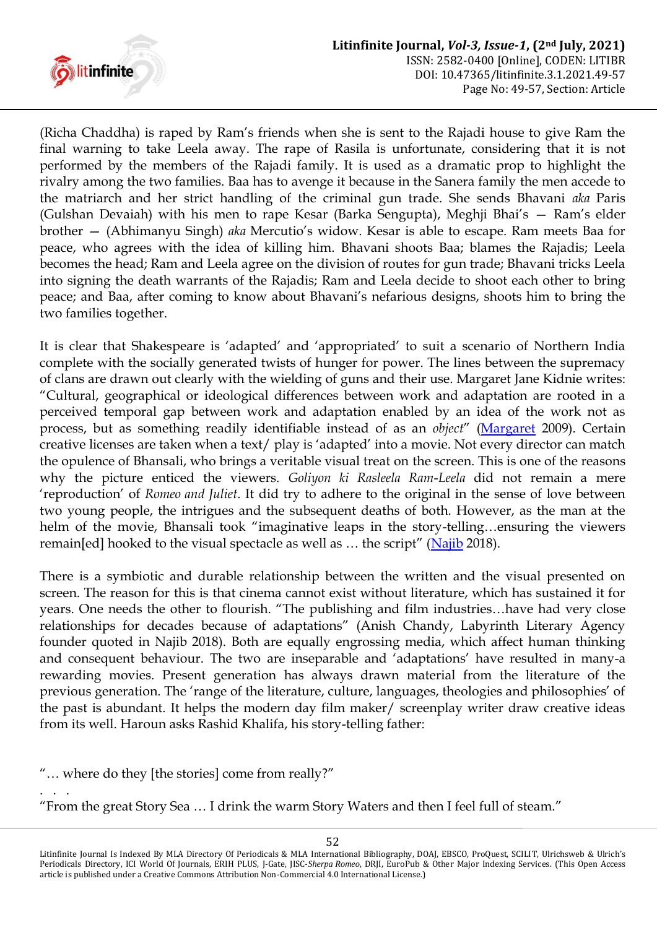

(Richa Chaddha) is raped by Ram"s friends when she is sent to the Rajadi house to give Ram the final warning to take Leela away. The rape of Rasila is unfortunate, considering that it is not performed by the members of the Rajadi family. It is used as a dramatic prop to highlight the rivalry among the two families. Baa has to avenge it because in the Sanera family the men accede to the matriarch and her strict handling of the criminal gun trade. She sends Bhavani *aka* Paris (Gulshan Devaiah) with his men to rape Kesar (Barka Sengupta), Meghji Bhai"s — Ram"s elder brother — (Abhimanyu Singh) *aka* Mercutio"s widow. Kesar is able to escape. Ram meets Baa for peace, who agrees with the idea of killing him. Bhavani shoots Baa; blames the Rajadis; Leela becomes the head; Ram and Leela agree on the division of routes for gun trade; Bhavani tricks Leela into signing the death warrants of the Rajadis; Ram and Leela decide to shoot each other to bring peace; and Baa, after coming to know about Bhavani"s nefarious designs, shoots him to bring the two families together.

It is clear that Shakespeare is "adapted" and "appropriated" to suit a scenario of Northern India complete with the socially generated twists of hunger for power. The lines between the supremacy of clans are drawn out clearly with the wielding of guns and their use. Margaret Jane Kidnie writes: "Cultural, geographical or ideological differences between work and adaptation are rooted in a perceived temporal gap between work and adaptation enabled by an idea of the work not as process, but as something readily identifiable instead of as an *object*" ([Margaret](#page-7-13) 2009). Certain creative licenses are taken when a text/ play is "adapted" into a movie. Not every director can match the opulence of Bhansali, who brings a veritable visual treat on the screen. This is one of the reasons why the picture enticed the viewers. *Goliyon ki Rasleela Ram*-*Leela* did not remain a mere "reproduction" of *Romeo and Juliet*. It did try to adhere to the original in the sense of love between two young people, the intrigues and the subsequent deaths of both. However, as the man at the helm of the movie, Bhansali took "imaginative leaps in the story-telling...ensuring the viewers remain[ed] hooked to the visual spectacle as well as ... the script" ([Najib](#page-7-14) 2018).

There is a symbiotic and durable relationship between the written and the visual presented on screen. The reason for this is that cinema cannot exist without literature, which has sustained it for years. One needs the other to flourish. "The publishing and film industries…have had very close relationships for decades because of adaptations" (Anish Chandy, Labyrinth Literary Agency founder quoted in Najib 2018). Both are equally engrossing media, which affect human thinking and consequent behaviour. The two are inseparable and "adaptations" have resulted in many-a rewarding movies. Present generation has always drawn material from the literature of the previous generation. The "range of the literature, culture, languages, theologies and philosophies" of the past is abundant. It helps the modern day film maker/ screenplay writer draw creative ideas from its well. Haroun asks Rashid Khalifa, his story-telling father:

<sup>&</sup>quot;… where do they [the stories] come from really?"

<sup>. . .</sup> "From the great Story Sea … I drink the warm Story Waters and then I feel full of steam."

Litinfinite Journal Is Indexed By MLA Directory Of Periodicals & MLA International Bibliography, DOAJ, EBSCO, ProQuest, SCILIT, Ulrichsweb & Ulrich's Periodicals Directory, ICI World Of Journals, ERIH PLUS, J-Gate, JISC-*Sherpa Romeo*, DRJI, EuroPub & Other Major Indexing Services. (This Open Access article is published under a Creative Commons Attribution Non-Commercial 4.0 International License.)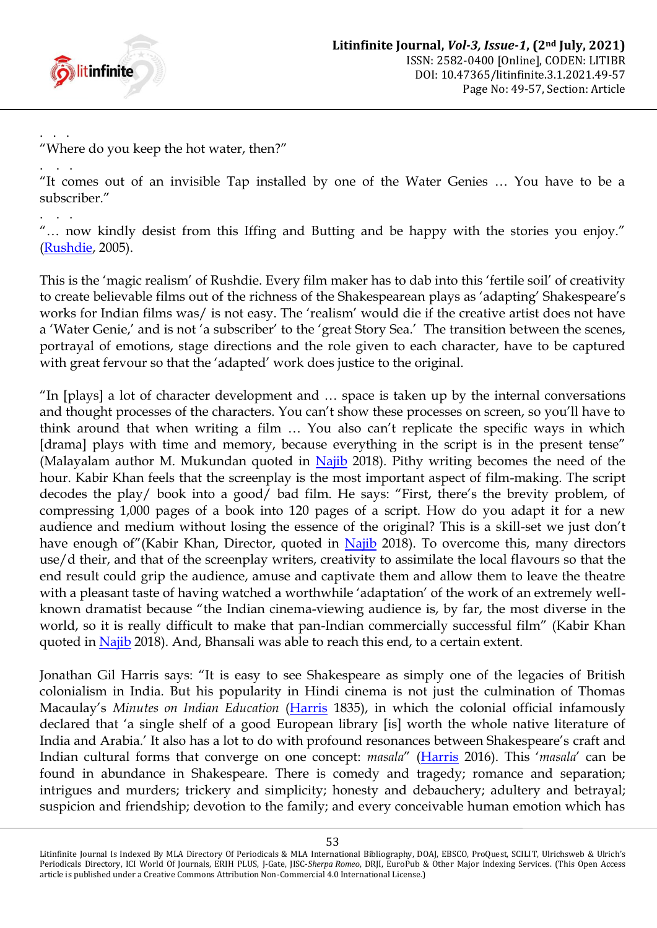

. . . "Where do you keep the hot water, then?"

. . . "It comes out of an invisible Tap installed by one of the Water Genies … You have to be a subscriber."

. . . "… now kindly desist from this Iffing and Butting and be happy with the stories you enjoy." [\(Rushdie,](#page-7-15) 2005).

This is the "magic realism" of Rushdie. Every film maker has to dab into this "fertile soil" of creativity to create believable films out of the richness of the Shakespearean plays as "adapting" Shakespeare"s works for Indian films was/ is not easy. The "realism" would die if the creative artist does not have a 'Water Genie,' and is not 'a subscriber' to the 'great Story Sea.' The transition between the scenes, portrayal of emotions, stage directions and the role given to each character, have to be captured with great fervour so that the 'adapted' work does justice to the original.

"In [plays] a lot of character development and … space is taken up by the internal conversations and thought processes of the characters. You can't show these processes on screen, so you'll have to think around that when writing a film … You also can"t replicate the specific ways in which [drama] plays with time and memory, because everything in the script is in the present tense" (Malayalam author M. Mukundan quoted in [Najib](#page-7-14) 2018). Pithy writing becomes the need of the hour. Kabir Khan feels that the screenplay is the most important aspect of film-making. The script decodes the play/ book into a good/ bad film. He says: "First, there's the brevity problem, of compressing 1,000 pages of a book into 120 pages of a script. How do you adapt it for a new audience and medium without losing the essence of the original? This is a skill-set we just don"t have enough of"(Kabir Khan, Director, quoted in [Najib](#page-7-14) 2018). To overcome this, many directors use/d their, and that of the screenplay writers, creativity to assimilate the local flavours so that the end result could grip the audience, amuse and captivate them and allow them to leave the theatre with a pleasant taste of having watched a worthwhile 'adaptation' of the work of an extremely wellknown dramatist because "the Indian cinema-viewing audience is, by far, the most diverse in the world, so it is really difficult to make that pan-Indian commercially successful film" (Kabir Khan quoted in [Najib](#page-7-14) 2018). And, Bhansali was able to reach this end, to a certain extent.

Jonathan Gil Harris says: "It is easy to see Shakespeare as simply one of the legacies of British colonialism in India. But his popularity in Hindi cinema is not just the culmination of Thomas Macaulay"s *Minutes on Indian Education* [\(Harris](#page-7-16) 1835), in which the colonial official infamously declared that "a single shelf of a good European library [is] worth the whole native literature of India and Arabia.' It also has a lot to do with profound resonances between Shakespeare's craft and Indian cultural forms that converge on one concept: *masala*" ([Harris](#page-7-16) 2016). This "*masala*" can be found in abundance in Shakespeare. There is comedy and tragedy; romance and separation; intrigues and murders; trickery and simplicity; honesty and debauchery; adultery and betrayal; suspicion and friendship; devotion to the family; and every conceivable human emotion which has

53

Litinfinite Journal Is Indexed By MLA Directory Of Periodicals & MLA International Bibliography, DOAJ, EBSCO, ProQuest, SCILIT, Ulrichsweb & Ulrich's Periodicals Directory, ICI World Of Journals, ERIH PLUS, J-Gate, JISC-*Sherpa Romeo*, DRJI, EuroPub & Other Major Indexing Services. (This Open Access article is published under a Creative Commons Attribution Non-Commercial 4.0 International License.)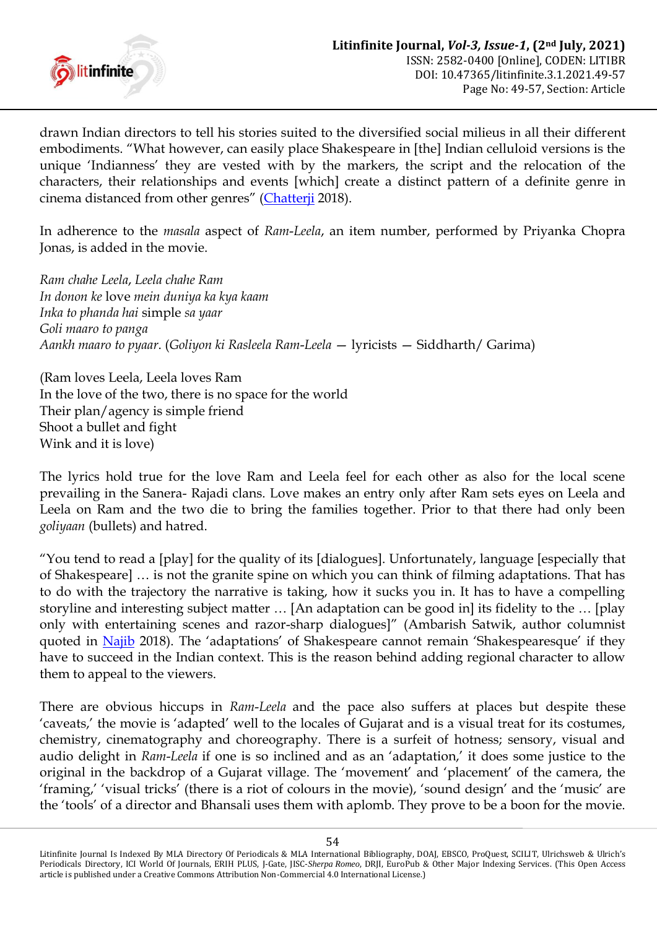

drawn Indian directors to tell his stories suited to the diversified social milieus in all their different embodiments. "What however, can easily place Shakespeare in [the] Indian celluloid versions is the unique "Indianness" they are vested with by the markers, the script and the relocation of the characters, their relationships and events [which] create a distinct pattern of a definite genre in cinema distanced from other genres" ([Chatterji](#page-7-9) 2018).

In adherence to the *masala* aspect of *Ram*-*Leela*, an item number, performed by Priyanka Chopra Jonas, is added in the movie.

*Ram chahe Leela*, *Leela chahe Ram In donon ke* love *mein duniya ka kya kaam Inka to phanda hai* simple *sa yaar Goli maaro to panga Aankh maaro to pyaar*. (*Goliyon ki Rasleela Ram*-*Leela* — lyricists — Siddharth/ Garima)

(Ram loves Leela, Leela loves Ram In the love of the two, there is no space for the world Their plan/agency is simple friend Shoot a bullet and fight Wink and it is love)

The lyrics hold true for the love Ram and Leela feel for each other as also for the local scene prevailing in the Sanera- Rajadi clans. Love makes an entry only after Ram sets eyes on Leela and Leela on Ram and the two die to bring the families together. Prior to that there had only been *goliyaan* (bullets) and hatred.

"You tend to read a [play] for the quality of its [dialogues]. Unfortunately, language [especially that of Shakespeare] … is not the granite spine on which you can think of filming adaptations. That has to do with the trajectory the narrative is taking, how it sucks you in. It has to have a compelling storyline and interesting subject matter … [An adaptation can be good in] its fidelity to the … [play only with entertaining scenes and razor-sharp dialogues]" (Ambarish Satwik, author columnist quoted in [Najib](#page-7-14) 2018). The 'adaptations' of Shakespeare cannot remain 'Shakespearesque' if they have to succeed in the Indian context. This is the reason behind adding regional character to allow them to appeal to the viewers.

There are obvious hiccups in *Ram*-*Leela* and the pace also suffers at places but despite these 'caveats,' the movie is 'adapted' well to the locales of Gujarat and is a visual treat for its costumes, chemistry, cinematography and choreography. There is a surfeit of hotness; sensory, visual and audio delight in *Ram*-*Leela* if one is so inclined and as an "adaptation," it does some justice to the original in the backdrop of a Gujarat village. The 'movement' and 'placement' of the camera, the 'framing,' 'visual tricks' (there is a riot of colours in the movie), 'sound design' and the 'music' are the "tools" of a director and Bhansali uses them with aplomb. They prove to be a boon for the movie.

Litinfinite Journal Is Indexed By MLA Directory Of Periodicals & MLA International Bibliography, DOAJ, EBSCO, ProQuest, SCILIT, Ulrichsweb & Ulrich's Periodicals Directory, ICI World Of Journals, ERIH PLUS, J-Gate, JISC-*Sherpa Romeo*, DRJI, EuroPub & Other Major Indexing Services. (This Open Access article is published under a Creative Commons Attribution Non-Commercial 4.0 International License.)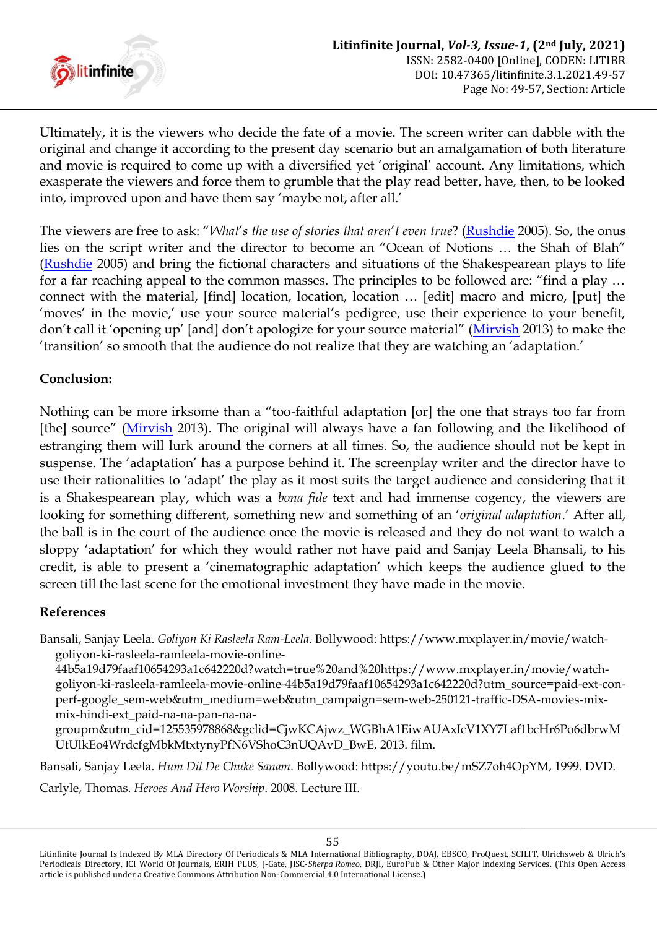

Ultimately, it is the viewers who decide the fate of a movie. The screen writer can dabble with the original and change it according to the present day scenario but an amalgamation of both literature and movie is required to come up with a diversified yet 'original' account. Any limitations, which exasperate the viewers and force them to grumble that the play read better, have, then, to be looked into, improved upon and have them say 'maybe not, after all.'

The viewers are free to ask: "*What*"*s the use of stories that aren*"*t even true*? [\(Rushdie](#page-7-15) 2005). So, the onus lies on the script writer and the director to become an "Ocean of Notions … the Shah of Blah" [\(Rushdie](#page-7-15) 2005) and bring the fictional characters and situations of the Shakespearean plays to life for a far reaching appeal to the common masses. The principles to be followed are: "find a play … connect with the material, [find] location, location, location … [edit] macro and micro, [put] the 'moves' in the movie,' use your source material's pedigree, use their experience to your benefit, don't call it 'opening up' [and] don't apologize for your source material" ([Mirvish](#page-7-17) 2013) to make the "transition" so smooth that the audience do not realize that they are watching an "adaptation."

## **Conclusion:**

Nothing can be more irksome than a "too-faithful adaptation [or] the one that strays too far from [the] source" ([Mirvish](#page-7-17) 2013). The original will always have a fan following and the likelihood of estranging them will lurk around the corners at all times. So, the audience should not be kept in suspense. The 'adaptation' has a purpose behind it. The screenplay writer and the director have to use their rationalities to "adapt" the play as it most suits the target audience and considering that it is a Shakespearean play, which was a *bona fide* text and had immense cogency, the viewers are looking for something different, something new and something of an "*original adaptation*." After all, the ball is in the court of the audience once the movie is released and they do not want to watch a sloppy "adaptation" for which they would rather not have paid and Sanjay Leela Bhansali, to his credit, is able to present a "cinematographic adaptation" which keeps the audience glued to the screen till the last scene for the emotional investment they have made in the movie.

#### **References**

Bansali, Sanjay Leela. *Goliyon Ki Rasleela Ram-Leela*. Bollywood: https://www.mxplayer.in/movie/watchgoliyon-ki-rasleela-ramleela-movie-online-

44b5a19d79faaf10654293a1c642220d?watch=true%20and%20https://www.mxplayer.in/movie/watchgoliyon-ki-rasleela-ramleela-movie-online-44b5a19d79faaf10654293a1c642220d?utm\_source=paid-ext-conperf-google\_sem-web&utm\_medium=web&utm\_campaign=sem-web-250121-traffic-DSA-movies-mixmix-hindi-ext\_paid-na-na-pan-na-na-

groupm&utm\_cid=125535978868&gclid=CjwKCAjwz\_WGBhA1EiwAUAxIcV1XY7Laf1bcHr6Po6dbrwM UtUlkEo4WrdcfgMbkMtxtynyPfN6VShoC3nUQAvD\_BwE, 2013. film.

Bansali, Sanjay Leela. *Hum Dil De Chuke Sanam*. Bollywood: https://youtu.be/mSZ7oh4OpYM, 1999. DVD.

<span id="page-6-0"></span>Carlyle, Thomas. *Heroes And Hero Worship*. 2008. Lecture III.

Litinfinite Journal Is Indexed By MLA Directory Of Periodicals & MLA International Bibliography, DOAJ, EBSCO, ProQuest, SCILIT, Ulrichsweb & Ulrich's Periodicals Directory, ICI World Of Journals, ERIH PLUS, J-Gate, JISC-*Sherpa Romeo*, DRJI, EuroPub & Other Major Indexing Services. (This Open Access article is published under a Creative Commons Attribution Non-Commercial 4.0 International License.)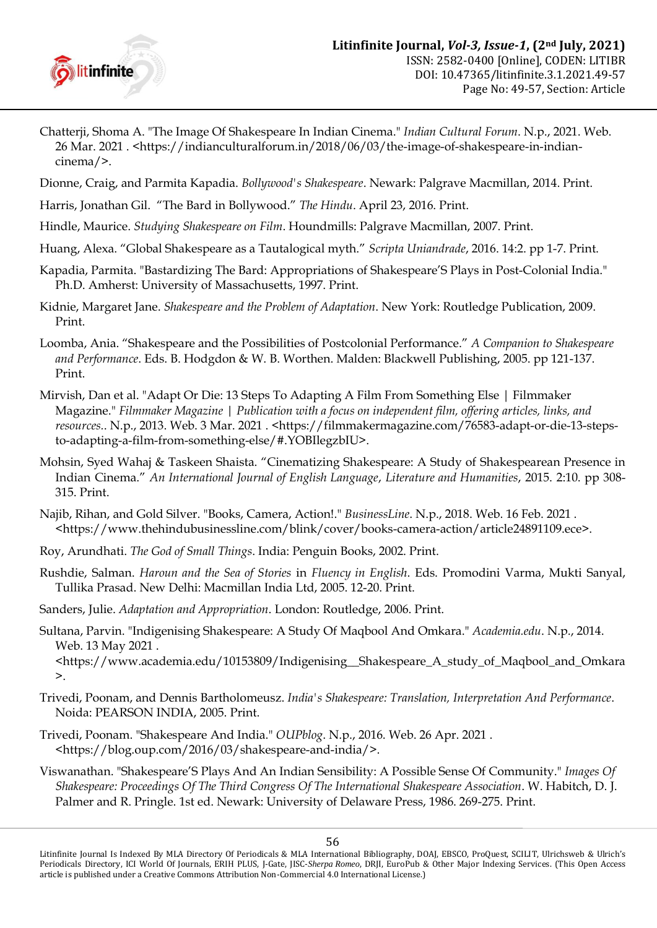

- <span id="page-7-9"></span>Chatterji, Shoma A. "The Image Of Shakespeare In Indian Cinema." *Indian Cultural Forum*. N.p., 2021. Web. 26 Mar. 2021 . <https://indianculturalforum.in/2018/06/03/the-image-of-shakespeare-in-indiancinema/>.
- <span id="page-7-7"></span><span id="page-7-0"></span>Dionne, Craig, and Parmita Kapadia. *Bollywood's Shakespeare*. Newark: Palgrave Macmillan, 2014. Print.
- <span id="page-7-16"></span>Harris, Jonathan Gil. "The Bard in Bollywood." *The Hindu*. April 23, 2016. Print.
- <span id="page-7-4"></span>Hindle, Maurice. *Studying Shakespeare on Film*. Houndmills: Palgrave Macmillan, 2007. Print.
- <span id="page-7-6"></span>Huang, Alexa. "Global Shakespeare as a Tautalogical myth." *Scripta Uniandrade*, 2016. 14:2. pp 1-7. Print.
- Kapadia, Parmita. "Bastardizing The Bard: Appropriations of Shakespeare"S Plays in Post-Colonial India." Ph.D. Amherst: University of Massachusetts, 1997. Print.
- <span id="page-7-13"></span>Kidnie, Margaret Jane. *Shakespeare and the Problem of Adaptation*. New York: Routledge Publication, 2009. Print.
- <span id="page-7-10"></span>Loomba, Ania. "Shakespeare and the Possibilities of Postcolonial Performance." *A Companion to Shakespeare and Performance*. Eds. B. Hodgdon & W. B. Worthen. Malden: Blackwell Publishing, 2005. pp 121-137. Print.
- <span id="page-7-17"></span>Mirvish, Dan et al. "Adapt Or Die: 13 Steps To Adapting A Film From Something Else | Filmmaker Magazine." *Filmmaker Magazine | Publication with a focus on independent film, offering articles, links, and*  resources.. N.p., 2013. Web. 3 Mar. 2021 . < https://filmmakermagazine.com/76583-adapt-or-die-13-stepsto-adapting-a-film-from-something-else/#.YOBIlegzbIU>.
- <span id="page-7-11"></span>Mohsin, Syed Wahaj & Taskeen Shaista. "Cinematizing Shakespeare: A Study of Shakespearean Presence in Indian Cinema." *An International Journal of English Language*, *Literature and Humanities*, 2015. 2:10. pp 308- 315. Print.
- <span id="page-7-14"></span>Najib, Rihan, and Gold Silver. "Books, Camera, Action!." *BusinessLine*. N.p., 2018. Web. 16 Feb. 2021 . <https://www.thehindubusinessline.com/blink/cover/books-camera-action/article24891109.ece>.
- <span id="page-7-12"></span>Roy, Arundhati. *The God of Small Things*. India: Penguin Books, 2002. Print.
- <span id="page-7-15"></span>Rushdie, Salman. *Haroun and the Sea of Stories* in *Fluency in English*. Eds. Promodini Varma, Mukti Sanyal, Tullika Prasad. New Delhi: Macmillan India Ltd, 2005. 12-20. Print.
- <span id="page-7-8"></span>Sanders, Julie. *Adaptation and Appropriation*. London: Routledge, 2006. Print.
- <span id="page-7-1"></span>Sultana, Parvin. "Indigenising Shakespeare: A Study Of Maqbool And Omkara." *Academia.edu*. N.p., 2014. Web. 13 May 2021 .

<https://www.academia.edu/10153809/Indigenising\_\_Shakespeare\_A\_study\_of\_Maqbool\_and\_Omkara >.

- <span id="page-7-5"></span>Trivedi, Poonam, and Dennis Bartholomeusz. *India's Shakespeare: Translation, Interpretation And Performance*. Noida: PEARSON INDIA, 2005. Print.
- <span id="page-7-3"></span>Trivedi, Poonam. "Shakespeare And India." *OUPblog*. N.p., 2016. Web. 26 Apr. 2021 . <https://blog.oup.com/2016/03/shakespeare-and-india/>.
- <span id="page-7-2"></span>Viswanathan. "Shakespeare"S Plays And An Indian Sensibility: A Possible Sense Of Community." *Images Of Shakespeare: Proceedings Of The Third Congress Of The International Shakespeare Association*. W. Habitch, D. J. Palmer and R. Pringle. 1st ed. Newark: University of Delaware Press, 1986. 269-275. Print.